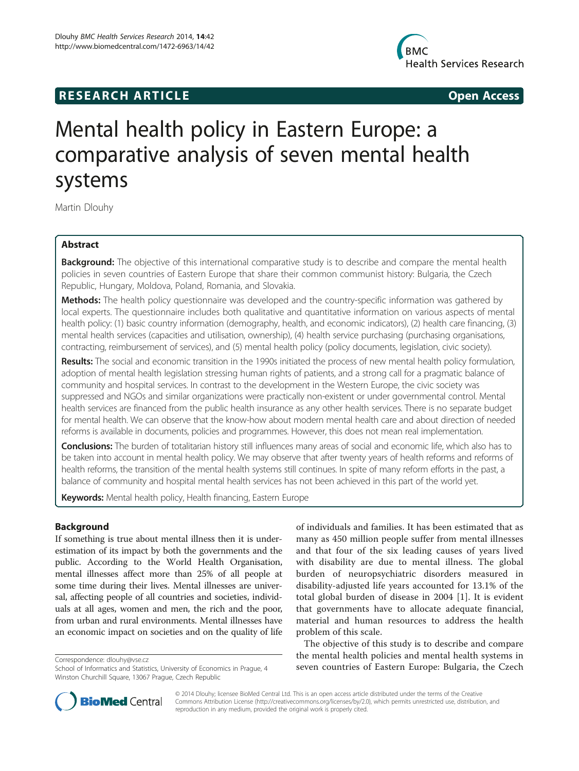# **RESEARCH ARTICLE Example 2014 The SEAR CH ACCESS**



# Mental health policy in Eastern Europe: a comparative analysis of seven mental health systems

Martin Dlouhy

# Abstract

Background: The objective of this international comparative study is to describe and compare the mental health policies in seven countries of Eastern Europe that share their common communist history: Bulgaria, the Czech Republic, Hungary, Moldova, Poland, Romania, and Slovakia.

**Methods:** The health policy questionnaire was developed and the country-specific information was gathered by local experts. The questionnaire includes both qualitative and quantitative information on various aspects of mental health policy: (1) basic country information (demography, health, and economic indicators), (2) health care financing, (3) mental health services (capacities and utilisation, ownership), (4) health service purchasing (purchasing organisations, contracting, reimbursement of services), and (5) mental health policy (policy documents, legislation, civic society).

Results: The social and economic transition in the 1990s initiated the process of new mental health policy formulation, adoption of mental health legislation stressing human rights of patients, and a strong call for a pragmatic balance of community and hospital services. In contrast to the development in the Western Europe, the civic society was suppressed and NGOs and similar organizations were practically non-existent or under governmental control. Mental health services are financed from the public health insurance as any other health services. There is no separate budget for mental health. We can observe that the know-how about modern mental health care and about direction of needed reforms is available in documents, policies and programmes. However, this does not mean real implementation.

Conclusions: The burden of totalitarian history still influences many areas of social and economic life, which also has to be taken into account in mental health policy. We may observe that after twenty years of health reforms and reforms of health reforms, the transition of the mental health systems still continues. In spite of many reform efforts in the past, a balance of community and hospital mental health services has not been achieved in this part of the world yet.

Keywords: Mental health policy, Health financing, Eastern Europe

# **Background**

If something is true about mental illness then it is underestimation of its impact by both the governments and the public. According to the World Health Organisation, mental illnesses affect more than 25% of all people at some time during their lives. Mental illnesses are universal, affecting people of all countries and societies, individuals at all ages, women and men, the rich and the poor, from urban and rural environments. Mental illnesses have an economic impact on societies and on the quality of life

of individuals and families. It has been estimated that as many as 450 million people suffer from mental illnesses and that four of the six leading causes of years lived with disability are due to mental illness. The global burden of neuropsychiatric disorders measured in disability-adjusted life years accounted for 13.1% of the total global burden of disease in 2004 [\[1](#page-7-0)]. It is evident that governments have to allocate adequate financial, material and human resources to address the health problem of this scale.

The objective of this study is to describe and compare the mental health policies and mental health systems in Correspondence: [dlouhy@vse.cz](mailto:dlouhy@vse.cz)<br>School of Informatics and Statistics, University of Economics in Prague, 4 **Seven Countries of Eastern Europe: Bulgaria, the Czech** 



© 2014 Dlouhy; licensee BioMed Central Ltd. This is an open access article distributed under the terms of the Creative Commons Attribution License [\(http://creativecommons.org/licenses/by/2.0\)](http://creativecommons.org/licenses/by/2.0), which permits unrestricted use, distribution, and reproduction in any medium, provided the original work is properly cited.

School of Informatics and Statistics, University of Economics in Prague, 4 Winston Churchill Square, 13067 Prague, Czech Republic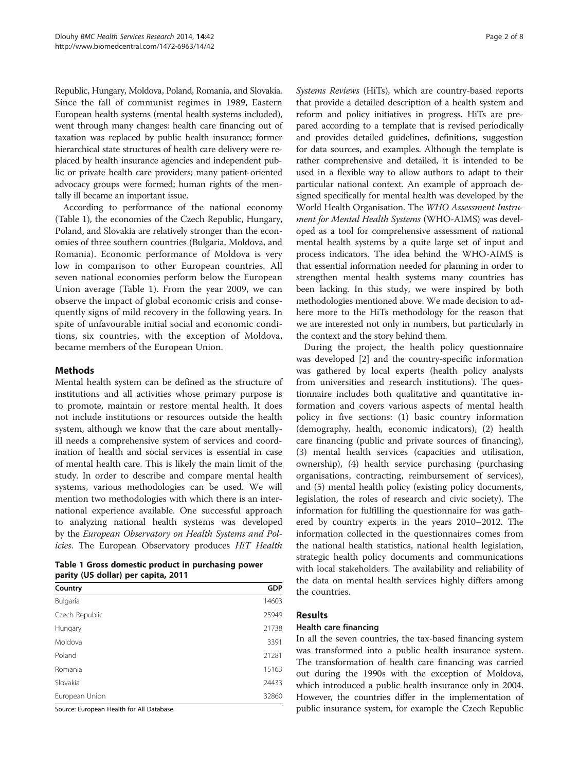Republic, Hungary, Moldova, Poland, Romania, and Slovakia. Since the fall of communist regimes in 1989, Eastern European health systems (mental health systems included), went through many changes: health care financing out of taxation was replaced by public health insurance; former hierarchical state structures of health care delivery were replaced by health insurance agencies and independent public or private health care providers; many patient-oriented advocacy groups were formed; human rights of the mentally ill became an important issue.

According to performance of the national economy (Table 1), the economies of the Czech Republic, Hungary, Poland, and Slovakia are relatively stronger than the economies of three southern countries (Bulgaria, Moldova, and Romania). Economic performance of Moldova is very low in comparison to other European countries. All seven national economies perform below the European Union average (Table 1). From the year 2009, we can observe the impact of global economic crisis and consequently signs of mild recovery in the following years. In spite of unfavourable initial social and economic conditions, six countries, with the exception of Moldova, became members of the European Union.

#### Methods

Mental health system can be defined as the structure of institutions and all activities whose primary purpose is to promote, maintain or restore mental health. It does not include institutions or resources outside the health system, although we know that the care about mentallyill needs a comprehensive system of services and coordination of health and social services is essential in case of mental health care. This is likely the main limit of the study. In order to describe and compare mental health systems, various methodologies can be used. We will mention two methodologies with which there is an international experience available. One successful approach to analyzing national health systems was developed by the European Observatory on Health Systems and Policies. The European Observatory produces HiT Health

Table 1 Gross domestic product in purchasing power parity (US dollar) per capita, 2011

| Country        | <b>GDP</b> |
|----------------|------------|
| Bulgaria       | 14603      |
| Czech Republic | 25949      |
| Hungary        | 21738      |
| Moldova        | 3391       |
| Poland         | 21281      |
| Romania        | 15163      |
| Slovakia       | 24433      |
| European Union | 32860      |

Source: European Health for All Database.

Systems Reviews (HiTs), which are country-based reports that provide a detailed description of a health system and reform and policy initiatives in progress. HiTs are prepared according to a template that is revised periodically and provides detailed guidelines, definitions, suggestion for data sources, and examples. Although the template is rather comprehensive and detailed, it is intended to be used in a flexible way to allow authors to adapt to their particular national context. An example of approach designed specifically for mental health was developed by the World Health Organisation. The WHO Assessment Instrument for Mental Health Systems (WHO-AIMS) was developed as a tool for comprehensive assessment of national mental health systems by a quite large set of input and process indicators. The idea behind the WHO-AIMS is that essential information needed for planning in order to strengthen mental health systems many countries has been lacking. In this study, we were inspired by both methodologies mentioned above. We made decision to adhere more to the HiTs methodology for the reason that we are interested not only in numbers, but particularly in the context and the story behind them.

During the project, the health policy questionnaire was developed [\[2](#page-7-0)] and the country-specific information was gathered by local experts (health policy analysts from universities and research institutions). The questionnaire includes both qualitative and quantitative information and covers various aspects of mental health policy in five sections: (1) basic country information (demography, health, economic indicators), (2) health care financing (public and private sources of financing), (3) mental health services (capacities and utilisation, ownership), (4) health service purchasing (purchasing organisations, contracting, reimbursement of services), and (5) mental health policy (existing policy documents, legislation, the roles of research and civic society). The information for fulfilling the questionnaire for was gathered by country experts in the years 2010–2012. The information collected in the questionnaires comes from the national health statistics, national health legislation, strategic health policy documents and communications with local stakeholders. The availability and reliability of the data on mental health services highly differs among the countries.

#### Results

#### Health care financing

In all the seven countries, the tax-based financing system was transformed into a public health insurance system. The transformation of health care financing was carried out during the 1990s with the exception of Moldova, which introduced a public health insurance only in 2004. However, the countries differ in the implementation of public insurance system, for example the Czech Republic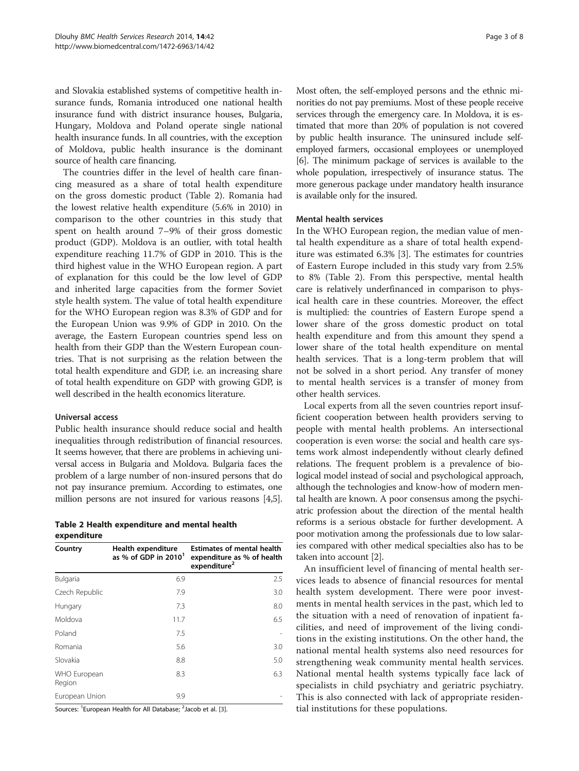and Slovakia established systems of competitive health insurance funds, Romania introduced one national health insurance fund with district insurance houses, Bulgaria, Hungary, Moldova and Poland operate single national health insurance funds. In all countries, with the exception of Moldova, public health insurance is the dominant source of health care financing.

The countries differ in the level of health care financing measured as a share of total health expenditure on the gross domestic product (Table 2). Romania had the lowest relative health expenditure (5.6% in 2010) in comparison to the other countries in this study that spent on health around 7–9% of their gross domestic product (GDP). Moldova is an outlier, with total health expenditure reaching 11.7% of GDP in 2010. This is the third highest value in the WHO European region. A part of explanation for this could be the low level of GDP and inherited large capacities from the former Soviet style health system. The value of total health expenditure for the WHO European region was 8.3% of GDP and for the European Union was 9.9% of GDP in 2010. On the average, the Eastern European countries spend less on health from their GDP than the Western European countries. That is not surprising as the relation between the total health expenditure and GDP, i.e. an increasing share of total health expenditure on GDP with growing GDP, is well described in the health economics literature.

#### Universal access

Public health insurance should reduce social and health inequalities through redistribution of financial resources. It seems however, that there are problems in achieving universal access in Bulgaria and Moldova. Bulgaria faces the problem of a large number of non-insured persons that do not pay insurance premium. According to estimates, one million persons are not insured for various reasons [[4,5](#page-7-0)].

|             | Table 2 Health expenditure and mental health |  |  |
|-------------|----------------------------------------------|--|--|
| expenditure |                                              |  |  |

| Country                | Health expenditure<br>as % of GDP in 2010 <sup>1</sup> | <b>Estimates of mental health</b><br>expenditure as % of health<br>expenditure <sup>2</sup> |
|------------------------|--------------------------------------------------------|---------------------------------------------------------------------------------------------|
| Bulgaria               | 6.9                                                    | 2.5                                                                                         |
| Czech Republic         | 7.9                                                    | 3.0                                                                                         |
| Hungary                | 7.3                                                    | 8.0                                                                                         |
| Moldova                | 11.7                                                   | 6.5                                                                                         |
| Poland                 | 7.5                                                    |                                                                                             |
| Romania                | 5.6                                                    | 3.0                                                                                         |
| Slovakia               | 8.8                                                    | 5.0                                                                                         |
| WHO European<br>Region | 8.3                                                    | 6.3                                                                                         |
| European Union         | 9.9                                                    |                                                                                             |

Sources: <sup>1</sup>European Health for All Database; <sup>2</sup>Jacob et al. [\[3\]](#page-7-0).

Most often, the self-employed persons and the ethnic minorities do not pay premiums. Most of these people receive services through the emergency care. In Moldova, it is estimated that more than 20% of population is not covered by public health insurance. The uninsured include selfemployed farmers, occasional employees or unemployed [[6](#page-7-0)]. The minimum package of services is available to the whole population, irrespectively of insurance status. The more generous package under mandatory health insurance is available only for the insured.

#### Mental health services

In the WHO European region, the median value of mental health expenditure as a share of total health expenditure was estimated 6.3% [[3](#page-7-0)]. The estimates for countries of Eastern Europe included in this study vary from 2.5% to 8% (Table 2). From this perspective, mental health care is relatively underfinanced in comparison to physical health care in these countries. Moreover, the effect is multiplied: the countries of Eastern Europe spend a lower share of the gross domestic product on total health expenditure and from this amount they spend a lower share of the total health expenditure on mental health services. That is a long-term problem that will not be solved in a short period. Any transfer of money to mental health services is a transfer of money from other health services.

Local experts from all the seven countries report insufficient cooperation between health providers serving to people with mental health problems. An intersectional cooperation is even worse: the social and health care systems work almost independently without clearly defined relations. The frequent problem is a prevalence of biological model instead of social and psychological approach, although the technologies and know-how of modern mental health are known. A poor consensus among the psychiatric profession about the direction of the mental health reforms is a serious obstacle for further development. A poor motivation among the professionals due to low salaries compared with other medical specialties also has to be taken into account [[2\]](#page-7-0).

An insufficient level of financing of mental health services leads to absence of financial resources for mental health system development. There were poor investments in mental health services in the past, which led to the situation with a need of renovation of inpatient facilities, and need of improvement of the living conditions in the existing institutions. On the other hand, the national mental health systems also need resources for strengthening weak community mental health services. National mental health systems typically face lack of specialists in child psychiatry and geriatric psychiatry. This is also connected with lack of appropriate residential institutions for these populations.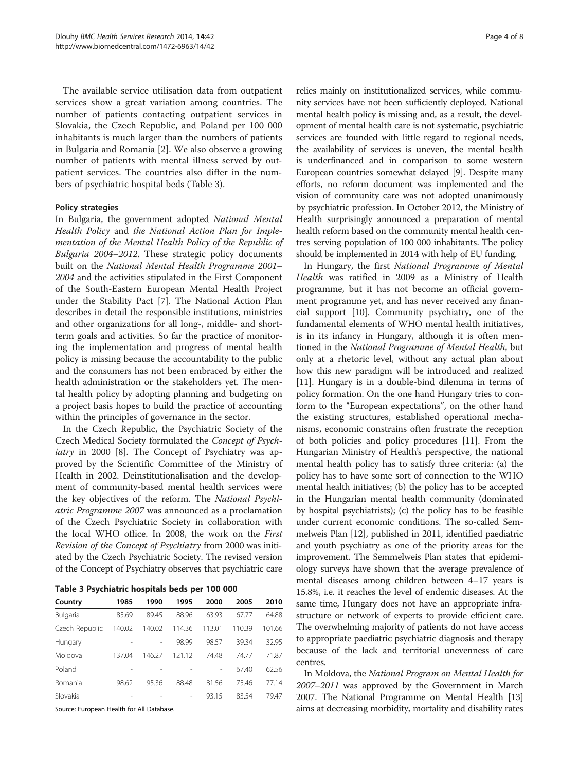The available service utilisation data from outpatient services show a great variation among countries. The number of patients contacting outpatient services in Slovakia, the Czech Republic, and Poland per 100 000 inhabitants is much larger than the numbers of patients in Bulgaria and Romania [\[2](#page-7-0)]. We also observe a growing number of patients with mental illness served by outpatient services. The countries also differ in the numbers of psychiatric hospital beds (Table 3).

#### Policy strategies

In Bulgaria, the government adopted National Mental Health Policy and the National Action Plan for Implementation of the Mental Health Policy of the Republic of Bulgaria 2004–2012. These strategic policy documents built on the National Mental Health Programme 2001– 2004 and the activities stipulated in the First Component of the South-Eastern European Mental Health Project under the Stability Pact [\[7](#page-7-0)]. The National Action Plan describes in detail the responsible institutions, ministries and other organizations for all long-, middle- and shortterm goals and activities. So far the practice of monitoring the implementation and progress of mental health policy is missing because the accountability to the public and the consumers has not been embraced by either the health administration or the stakeholders yet. The mental health policy by adopting planning and budgeting on a project basis hopes to build the practice of accounting within the principles of governance in the sector.

In the Czech Republic, the Psychiatric Society of the Czech Medical Society formulated the Concept of Psych-iatry in 2000 [[8\]](#page-7-0). The Concept of Psychiatry was approved by the Scientific Committee of the Ministry of Health in 2002. Deinstitutionalisation and the development of community-based mental health services were the key objectives of the reform. The National Psychiatric Programme 2007 was announced as a proclamation of the Czech Psychiatric Society in collaboration with the local WHO office. In 2008, the work on the First Revision of the Concept of Psychiatry from 2000 was initiated by the Czech Psychiatric Society. The revised version of the Concept of Psychiatry observes that psychiatric care

Table 3 Psychiatric hospitals beds per 100 000

| Country        | 1985   | 1990   | 1995           | 2000           | 2005   | 2010   |
|----------------|--------|--------|----------------|----------------|--------|--------|
| Bulgaria       | 85.69  | 89.45  | 88.96          | 63.93          | 67.77  | 64.88  |
| Czech Republic | 140.02 | 140.02 | 114.36         | 113.01         | 110.39 | 101.66 |
| Hungary        |        |        | 98.99          | 98.57          | 39.34  | 32.95  |
| Moldova        | 137.04 | 146.27 | 121.12         | 7448           | 74.77  | 71.87  |
| Poland         |        |        |                | $\overline{a}$ | 67.40  | 62.56  |
| Romania        | 98.62  | 95.36  | 88.48          | 81.56          | 75.46  | 77.14  |
| Slovakia       |        |        | $\overline{a}$ | 93.15          | 83.54  | 79.47  |

Source: European Health for All Database.

relies mainly on institutionalized services, while community services have not been sufficiently deployed. National mental health policy is missing and, as a result, the development of mental health care is not systematic, psychiatric services are founded with little regard to regional needs, the availability of services is uneven, the mental health is underfinanced and in comparison to some western European countries somewhat delayed [[9\]](#page-7-0). Despite many efforts, no reform document was implemented and the vision of community care was not adopted unanimously by psychiatric profession. In October 2012, the Ministry of Health surprisingly announced a preparation of mental health reform based on the community mental health centres serving population of 100 000 inhabitants. The policy should be implemented in 2014 with help of EU funding.

In Hungary, the first National Programme of Mental Health was ratified in 2009 as a Ministry of Health programme, but it has not become an official government programme yet, and has never received any financial support [\[10](#page-7-0)]. Community psychiatry, one of the fundamental elements of WHO mental health initiatives, is in its infancy in Hungary, although it is often mentioned in the National Programme of Mental Health, but only at a rhetoric level, without any actual plan about how this new paradigm will be introduced and realized [[11\]](#page-7-0). Hungary is in a double-bind dilemma in terms of policy formation. On the one hand Hungary tries to conform to the "European expectations", on the other hand the existing structures, established operational mechanisms, economic constrains often frustrate the reception of both policies and policy procedures [[11\]](#page-7-0). From the Hungarian Ministry of Health's perspective, the national mental health policy has to satisfy three criteria: (a) the policy has to have some sort of connection to the WHO mental health initiatives; (b) the policy has to be accepted in the Hungarian mental health community (dominated by hospital psychiatrists); (c) the policy has to be feasible under current economic conditions. The so-called Semmelweis Plan [[12](#page-7-0)], published in 2011, identified paediatric and youth psychiatry as one of the priority areas for the improvement. The Semmelweis Plan states that epidemiology surveys have shown that the average prevalence of mental diseases among children between 4–17 years is 15.8%, i.e. it reaches the level of endemic diseases. At the same time, Hungary does not have an appropriate infrastructure or network of experts to provide efficient care. The overwhelming majority of patients do not have access to appropriate paediatric psychiatric diagnosis and therapy because of the lack and territorial unevenness of care centres.

In Moldova, the National Program on Mental Health for 2007–2011 was approved by the Government in March 2007. The National Programme on Mental Health [[13](#page-7-0)] aims at decreasing morbidity, mortality and disability rates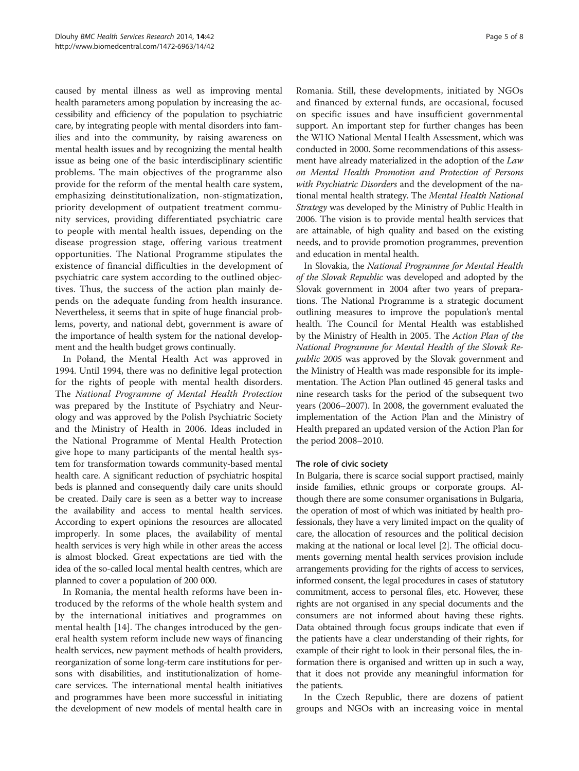caused by mental illness as well as improving mental health parameters among population by increasing the accessibility and efficiency of the population to psychiatric care, by integrating people with mental disorders into families and into the community, by raising awareness on mental health issues and by recognizing the mental health issue as being one of the basic interdisciplinary scientific problems. The main objectives of the programme also provide for the reform of the mental health care system, emphasizing deinstitutionalization, non-stigmatization, priority development of outpatient treatment community services, providing differentiated psychiatric care to people with mental health issues, depending on the disease progression stage, offering various treatment opportunities. The National Programme stipulates the existence of financial difficulties in the development of psychiatric care system according to the outlined objectives. Thus, the success of the action plan mainly depends on the adequate funding from health insurance. Nevertheless, it seems that in spite of huge financial problems, poverty, and national debt, government is aware of the importance of health system for the national development and the health budget grows continually.

In Poland, the Mental Health Act was approved in 1994. Until 1994, there was no definitive legal protection for the rights of people with mental health disorders. The National Programme of Mental Health Protection was prepared by the Institute of Psychiatry and Neurology and was approved by the Polish Psychiatric Society and the Ministry of Health in 2006. Ideas included in the National Programme of Mental Health Protection give hope to many participants of the mental health system for transformation towards community-based mental health care. A significant reduction of psychiatric hospital beds is planned and consequently daily care units should be created. Daily care is seen as a better way to increase the availability and access to mental health services. According to expert opinions the resources are allocated improperly. In some places, the availability of mental health services is very high while in other areas the access is almost blocked. Great expectations are tied with the idea of the so-called local mental health centres, which are planned to cover a population of 200 000.

In Romania, the mental health reforms have been introduced by the reforms of the whole health system and by the international initiatives and programmes on mental health [\[14\]](#page-7-0). The changes introduced by the general health system reform include new ways of financing health services, new payment methods of health providers, reorganization of some long-term care institutions for persons with disabilities, and institutionalization of homecare services. The international mental health initiatives and programmes have been more successful in initiating the development of new models of mental health care in

Romania. Still, these developments, initiated by NGOs and financed by external funds, are occasional, focused on specific issues and have insufficient governmental support. An important step for further changes has been the WHO National Mental Health Assessment, which was conducted in 2000. Some recommendations of this assessment have already materialized in the adoption of the Law on Mental Health Promotion and Protection of Persons with Psychiatric Disorders and the development of the national mental health strategy. The Mental Health National Strategy was developed by the Ministry of Public Health in 2006. The vision is to provide mental health services that are attainable, of high quality and based on the existing needs, and to provide promotion programmes, prevention and education in mental health.

In Slovakia, the National Programme for Mental Health of the Slovak Republic was developed and adopted by the Slovak government in 2004 after two years of preparations. The National Programme is a strategic document outlining measures to improve the population's mental health. The Council for Mental Health was established by the Ministry of Health in 2005. The Action Plan of the National Programme for Mental Health of the Slovak Republic 2005 was approved by the Slovak government and the Ministry of Health was made responsible for its implementation. The Action Plan outlined 45 general tasks and nine research tasks for the period of the subsequent two years (2006–2007). In 2008, the government evaluated the implementation of the Action Plan and the Ministry of Health prepared an updated version of the Action Plan for the period 2008–2010.

#### The role of civic society

In Bulgaria, there is scarce social support practised, mainly inside families, ethnic groups or corporate groups. Although there are some consumer organisations in Bulgaria, the operation of most of which was initiated by health professionals, they have a very limited impact on the quality of care, the allocation of resources and the political decision making at the national or local level [[2](#page-7-0)]. The official documents governing mental health services provision include arrangements providing for the rights of access to services, informed consent, the legal procedures in cases of statutory commitment, access to personal files, etc. However, these rights are not organised in any special documents and the consumers are not informed about having these rights. Data obtained through focus groups indicate that even if the patients have a clear understanding of their rights, for example of their right to look in their personal files, the information there is organised and written up in such a way, that it does not provide any meaningful information for the patients.

In the Czech Republic, there are dozens of patient groups and NGOs with an increasing voice in mental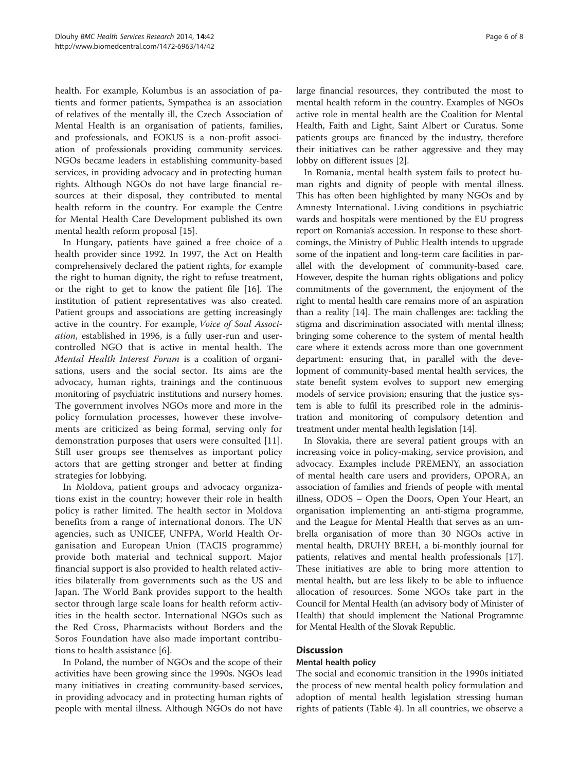health. For example, Kolumbus is an association of patients and former patients, Sympathea is an association of relatives of the mentally ill, the Czech Association of Mental Health is an organisation of patients, families, and professionals, and FOKUS is a non-profit association of professionals providing community services. NGOs became leaders in establishing community-based services, in providing advocacy and in protecting human rights. Although NGOs do not have large financial resources at their disposal, they contributed to mental health reform in the country. For example the Centre for Mental Health Care Development published its own mental health reform proposal [[15\]](#page-7-0).

In Hungary, patients have gained a free choice of a health provider since 1992. In 1997, the Act on Health comprehensively declared the patient rights, for example the right to human dignity, the right to refuse treatment, or the right to get to know the patient file [\[16](#page-7-0)]. The institution of patient representatives was also created. Patient groups and associations are getting increasingly active in the country. For example, Voice of Soul Association, established in 1996, is a fully user-run and usercontrolled NGO that is active in mental health. The Mental Health Interest Forum is a coalition of organisations, users and the social sector. Its aims are the advocacy, human rights, trainings and the continuous monitoring of psychiatric institutions and nursery homes. The government involves NGOs more and more in the policy formulation processes, however these involvements are criticized as being formal, serving only for demonstration purposes that users were consulted [\[11](#page-7-0)]. Still user groups see themselves as important policy actors that are getting stronger and better at finding strategies for lobbying.

In Moldova, patient groups and advocacy organizations exist in the country; however their role in health policy is rather limited. The health sector in Moldova benefits from a range of international donors. The UN agencies, such as UNICEF, UNFPA, World Health Organisation and European Union (TACIS programme) provide both material and technical support. Major financial support is also provided to health related activities bilaterally from governments such as the US and Japan. The World Bank provides support to the health sector through large scale loans for health reform activities in the health sector. International NGOs such as the Red Cross, Pharmacists without Borders and the Soros Foundation have also made important contributions to health assistance [[6\]](#page-7-0).

In Poland, the number of NGOs and the scope of their activities have been growing since the 1990s. NGOs lead many initiatives in creating community-based services, in providing advocacy and in protecting human rights of people with mental illness. Although NGOs do not have large financial resources, they contributed the most to mental health reform in the country. Examples of NGOs active role in mental health are the Coalition for Mental Health, Faith and Light, Saint Albert or Curatus. Some patients groups are financed by the industry, therefore their initiatives can be rather aggressive and they may lobby on different issues [[2\]](#page-7-0).

In Romania, mental health system fails to protect human rights and dignity of people with mental illness. This has often been highlighted by many NGOs and by Amnesty International. Living conditions in psychiatric wards and hospitals were mentioned by the EU progress report on Romania's accession. In response to these shortcomings, the Ministry of Public Health intends to upgrade some of the inpatient and long-term care facilities in parallel with the development of community-based care. However, despite the human rights obligations and policy commitments of the government, the enjoyment of the right to mental health care remains more of an aspiration than a reality [[14](#page-7-0)]. The main challenges are: tackling the stigma and discrimination associated with mental illness; bringing some coherence to the system of mental health care where it extends across more than one government department: ensuring that, in parallel with the development of community-based mental health services, the state benefit system evolves to support new emerging models of service provision; ensuring that the justice system is able to fulfil its prescribed role in the administration and monitoring of compulsory detention and treatment under mental health legislation [[14](#page-7-0)].

In Slovakia, there are several patient groups with an increasing voice in policy-making, service provision, and advocacy. Examples include PREMENY, an association of mental health care users and providers, OPORA, an association of families and friends of people with mental illness, ODOS – Open the Doors, Open Your Heart, an organisation implementing an anti-stigma programme, and the League for Mental Health that serves as an umbrella organisation of more than 30 NGOs active in mental health, DRUHY BREH, a bi-monthly journal for patients, relatives and mental health professionals [\[17](#page-7-0)]. These initiatives are able to bring more attention to mental health, but are less likely to be able to influence allocation of resources. Some NGOs take part in the Council for Mental Health (an advisory body of Minister of Health) that should implement the National Programme for Mental Health of the Slovak Republic.

#### **Discussion**

#### Mental health policy

The social and economic transition in the 1990s initiated the process of new mental health policy formulation and adoption of mental health legislation stressing human rights of patients (Table [4](#page-6-0)). In all countries, we observe a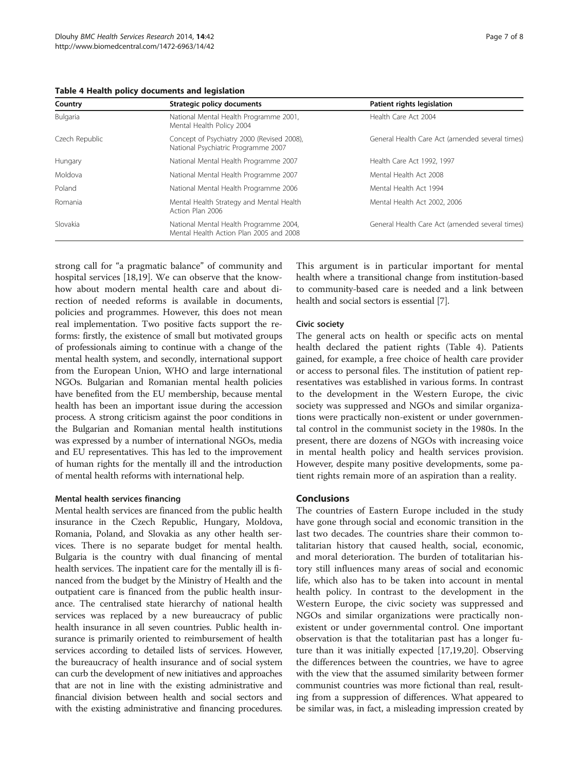<span id="page-6-0"></span>Table 4 Health policy documents and legislation

| Country        | Strategic policy documents                                                        | Patient rights legislation                      |  |
|----------------|-----------------------------------------------------------------------------------|-------------------------------------------------|--|
| Bulgaria       | National Mental Health Programme 2001,<br>Mental Health Policy 2004               | Health Care Act 2004                            |  |
| Czech Republic | Concept of Psychiatry 2000 (Revised 2008),<br>National Psychiatric Programme 2007 | General Health Care Act (amended several times) |  |
| Hungary        | National Mental Health Programme 2007                                             | Health Care Act 1992, 1997                      |  |
| Moldova        | National Mental Health Programme 2007                                             | Mental Health Act 2008                          |  |
| Poland         | National Mental Health Programme 2006                                             | Mental Health Act 1994                          |  |
| Romania        | Mental Health Strategy and Mental Health<br>Action Plan 2006                      | Mental Health Act 2002, 2006                    |  |
| Slovakia       | National Mental Health Programme 2004,<br>Mental Health Action Plan 2005 and 2008 | General Health Care Act (amended several times) |  |

strong call for "a pragmatic balance" of community and hospital services [[18,19\]](#page-7-0). We can observe that the knowhow about modern mental health care and about direction of needed reforms is available in documents, policies and programmes. However, this does not mean real implementation. Two positive facts support the reforms: firstly, the existence of small but motivated groups of professionals aiming to continue with a change of the mental health system, and secondly, international support from the European Union, WHO and large international NGOs. Bulgarian and Romanian mental health policies have benefited from the EU membership, because mental health has been an important issue during the accession process. A strong criticism against the poor conditions in the Bulgarian and Romanian mental health institutions was expressed by a number of international NGOs, media and EU representatives. This has led to the improvement of human rights for the mentally ill and the introduction of mental health reforms with international help.

# Mental health services financing

Mental health services are financed from the public health insurance in the Czech Republic, Hungary, Moldova, Romania, Poland, and Slovakia as any other health services. There is no separate budget for mental health. Bulgaria is the country with dual financing of mental health services. The inpatient care for the mentally ill is financed from the budget by the Ministry of Health and the outpatient care is financed from the public health insurance. The centralised state hierarchy of national health services was replaced by a new bureaucracy of public health insurance in all seven countries. Public health insurance is primarily oriented to reimbursement of health services according to detailed lists of services. However, the bureaucracy of health insurance and of social system can curb the development of new initiatives and approaches that are not in line with the existing administrative and financial division between health and social sectors and with the existing administrative and financing procedures.

This argument is in particular important for mental health where a transitional change from institution-based to community-based care is needed and a link between health and social sectors is essential [[7](#page-7-0)].

#### Civic society

The general acts on health or specific acts on mental health declared the patient rights (Table 4). Patients gained, for example, a free choice of health care provider or access to personal files. The institution of patient representatives was established in various forms. In contrast to the development in the Western Europe, the civic society was suppressed and NGOs and similar organizations were practically non-existent or under governmental control in the communist society in the 1980s. In the present, there are dozens of NGOs with increasing voice in mental health policy and health services provision. However, despite many positive developments, some patient rights remain more of an aspiration than a reality.

# Conclusions

The countries of Eastern Europe included in the study have gone through social and economic transition in the last two decades. The countries share their common totalitarian history that caused health, social, economic, and moral deterioration. The burden of totalitarian history still influences many areas of social and economic life, which also has to be taken into account in mental health policy. In contrast to the development in the Western Europe, the civic society was suppressed and NGOs and similar organizations were practically nonexistent or under governmental control. One important observation is that the totalitarian past has a longer future than it was initially expected [\[17,19,20](#page-7-0)]. Observing the differences between the countries, we have to agree with the view that the assumed similarity between former communist countries was more fictional than real, resulting from a suppression of differences. What appeared to be similar was, in fact, a misleading impression created by